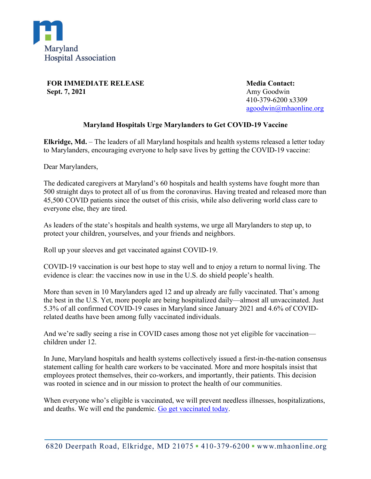

**FOR IMMEDIATE RELEASE Sept. 7, 2021**

**Media Contact:** Amy Goodwin 410-379-6200 x3309 [agoodwin@mhaonline.org](mailto:agoodwin@mhaonline.org)

## **Maryland Hospitals Urge Marylanders to Get COVID-19 Vaccine**

**Elkridge, Md.** – The leaders of all Maryland hospitals and health systems released a letter today to Marylanders, encouraging everyone to help save lives by getting the COVID-19 vaccine:

Dear Marylanders,

The dedicated caregivers at Maryland's 60 hospitals and health systems have fought more than 500 straight days to protect all of us from the coronavirus. Having treated and released more than 45,500 COVID patients since the outset of this crisis, while also delivering world class care to everyone else, they are tired.

As leaders of the state's hospitals and health systems, we urge all Marylanders to step up, to protect your children, yourselves, and your friends and neighbors.

Roll up your sleeves and get vaccinated against COVID-19.

COVID-19 vaccination is our best hope to stay well and to enjoy a return to normal living. The evidence is clear: the vaccines now in use in the U.S. do shield people's health.

More than seven in 10 Marylanders aged 12 and up already are fully vaccinated. That's among the best in the U.S. Yet, more people are being hospitalized daily—almost all unvaccinated. Just 5.3% of all confirmed COVID-19 cases in Maryland since January 2021 and 4.6% of COVIDrelated deaths have been among fully vaccinated individuals.

And we're sadly seeing a rise in COVID cases among those not yet eligible for vaccination children under 12.

In June, Maryland hospitals and health systems collectively issued a first-in-the-nation consensus statement calling for health care workers to be vaccinated. More and more hospitals insist that employees protect themselves, their co-workers, and importantly, their patients. This decision was rooted in science and in our mission to protect the health of our communities.

When everyone who's eligible is vaccinated, we will prevent needless illnesses, hospitalizations, and deaths. We will end the pandemic. [Go get vaccinated today.](https://coronavirus.maryland.gov/pages/vaccine)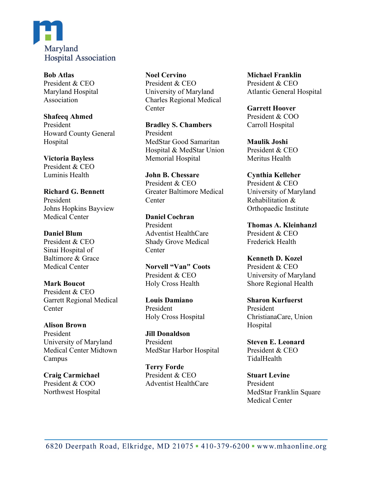

**Bob Atlas** President & CEO Maryland Hospital Association

### **Shafeeq Ahmed** President Howard County General Hospital

#### **Victoria Bayless** President & CEO Luminis Health

**Richard G. Bennett** President Johns Hopkins Bayview Medical Center

#### **Daniel Blum** President & CEO Sinai Hospital of Baltimore & Grace Medical Center

**Mark Boucot** President & CEO Garrett Regional Medical **Center** 

# **Alison Brown**

President University of Maryland Medical Center Midtown Campus

## **Craig Carmichael** President & COO Northwest Hospital

**Noel Cervino** President & CEO University of Maryland Charles Regional Medical **Center** 

**Bradley S. Chambers** President MedStar Good Samaritan Hospital & MedStar Union Memorial Hospital

**John B. Chessare** President & CEO Greater Baltimore Medical **Center** 

**Daniel Cochran** President Adventist HealthCare Shady Grove Medical Center

**Norvell "Van" Coots** President & CEO Holy Cross Health

**Louis Damiano** President Holy Cross Hospital

**Jill Donaldson** President MedStar Harbor Hospital

**Terry Forde** President & CEO Adventist HealthCare **Michael Franklin** President & CEO Atlantic General Hospital

**Garrett Hoover** President & COO Carroll Hospital

**Maulik Joshi** President & CEO Meritus Health

**Cynthia Kelleher** President & CEO University of Maryland Rehabilitation & Orthopaedic Institute

**Thomas A. Kleinhanzl** President & CEO Frederick Health

**Kenneth D. Kozel** President & CEO University of Maryland Shore Regional Health

**Sharon Kurfuerst** President ChristianaCare, Union Hospital

**Steven E. Leonard** President & CEO TidalHealth

**Stuart Levine** President MedStar Franklin Square Medical Center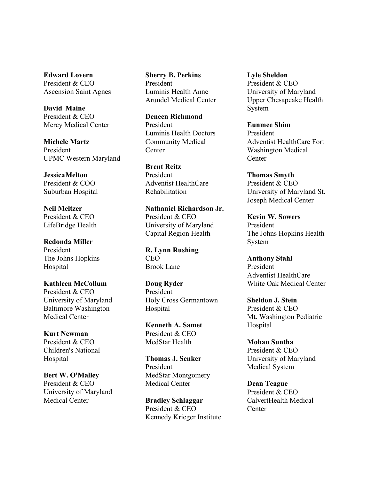**Edward Lovern** President & CEO Ascension Saint Agnes

**David Maine** President & CEO Mercy Medical Center

**Michele Martz** President UPMC Western Maryland

**JessicaMelton** President & COO Suburban Hospital

**Neil Meltzer** President & CEO LifeBridge Health

**Redonda Miller** President The Johns Hopkins Hospital

**Kathleen McCollum** President & CEO University of Maryland Baltimore Washington Medical Center

**Kurt Newman** President & CEO Children's National Hospital

**Bert W. O'Malley** President & CEO University of Maryland Medical Center

**Sherry B. Perkins** President Luminis Health Anne Arundel Medical Center

**Deneen Richmond** President Luminis Health Doctors Community Medical **Center** 

**Brent Reitz** President Adventist HealthCare Rehabilitation

**Nathaniel Richardson Jr.** President & CEO University of Maryland Capital Region Health

**R. Lynn Rushing** CEO Brook Lane

**Doug Ryder** President Holy Cross Germantown Hospital

**Kenneth A. Samet** President & CEO MedStar Health

**Thomas J. Senker** President MedStar Montgomery Medical Center

**Bradley Schlaggar** President & CEO Kennedy Krieger Institute **Lyle Sheldon** President & CEO University of Maryland Upper Chesapeake Health System

**Eunmee Shim** President Adventist HealthCare Fort Washington Medical **Center** 

**Thomas Smyth** President & CEO University of Maryland St. Joseph Medical Center

**Kevin W. Sowers** President The Johns Hopkins Health System

**Anthony Stahl** President Adventist HealthCare White Oak Medical Center

**Sheldon J. Stein** President & CEO Mt. Washington Pediatric Hospital

**Mohan Suntha** President & CEO University of Maryland Medical System

**Dean Teague** President & CEO CalvertHealth Medical **Center**